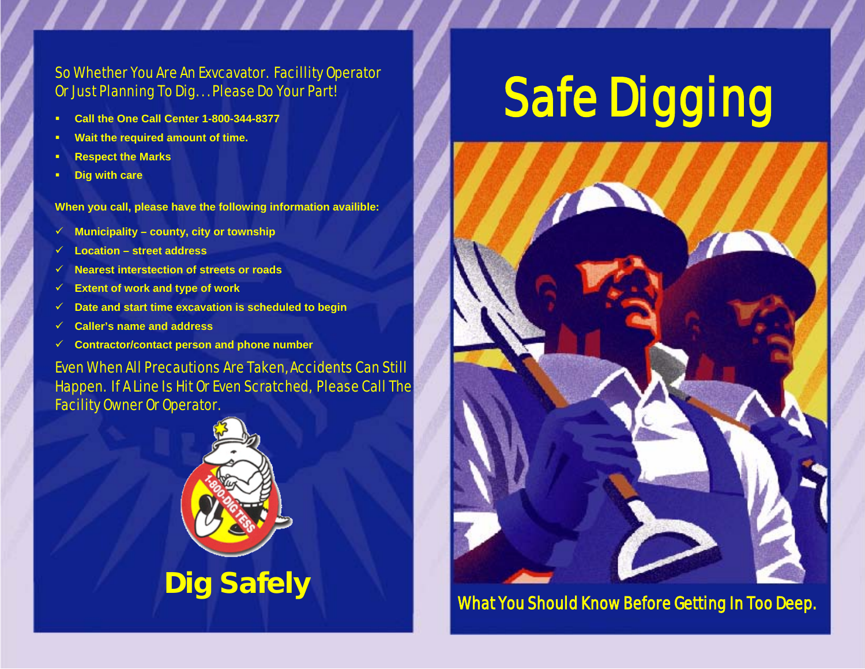### So Whether You Are An Exvcavator. Facillity Operator Or Just Planning To Dig. . . Please Do Your Part!

- **Call the One Call Center 1-800-344-8377**
- **Wait the required amount of time.**
- **Respect the Marks**
- **Dig with care**

**When you call, please have the following information availible:**

- **Municipality – county, city or township**
- **Location – street address**
- **Nearest interstection of streets or roads**
- **Extent of work and type of work**
- **Date and start time excavation is scheduled to begin**
- **Caller's name and address**
- **Contractor/contact person and phone number**

Even When All Precautions Are Taken, Accidents Can Still Happen. If A Line Is Hit Or Even Scratched, Please Call The Facility Owner Or Operator.



# **Safe Digging**



What You Should Know Before Getting In Too Deep.